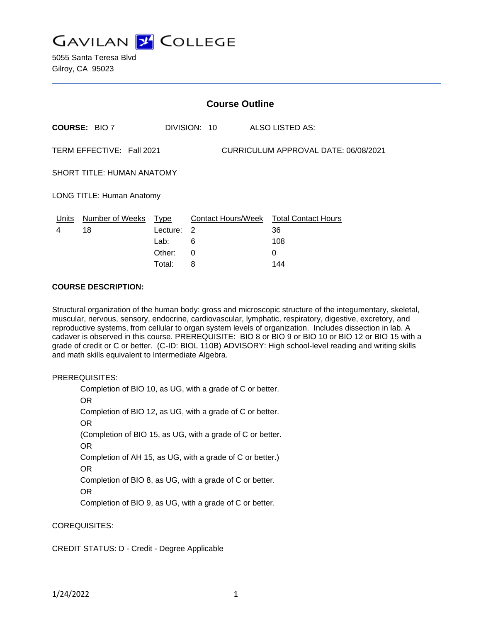

5055 Santa Teresa Blvd Gilroy, CA 95023

| <b>Course Outline</b>                                             |                      |          |              |                                        |
|-------------------------------------------------------------------|----------------------|----------|--------------|----------------------------------------|
|                                                                   | <b>COURSE: BIO 7</b> |          | DIVISION: 10 | ALSO LISTED AS:                        |
| TERM EFFECTIVE: Fall 2021<br>CURRICULUM APPROVAL DATE: 06/08/2021 |                      |          |              |                                        |
| <b>SHORT TITLE: HUMAN ANATOMY</b>                                 |                      |          |              |                                        |
| <b>LONG TITLE: Human Anatomy</b>                                  |                      |          |              |                                        |
| Units                                                             | Number of Weeks Type |          |              | Contact Hours/Week Total Contact Hours |
| 4                                                                 | 18                   | Lecture: | 2            | 36                                     |
|                                                                   |                      | Lab:     | 6            | 108                                    |
|                                                                   |                      | Other:   | $\Omega$     | 0                                      |
|                                                                   |                      | Total:   | 8            | 144                                    |

#### **COURSE DESCRIPTION:**

Structural organization of the human body: gross and microscopic structure of the integumentary, skeletal, muscular, nervous, sensory, endocrine, cardiovascular, lymphatic, respiratory, digestive, excretory, and reproductive systems, from cellular to organ system levels of organization. Includes dissection in lab. A cadaver is observed in this course. PREREQUISITE: BIO 8 or BIO 9 or BIO 10 or BIO 12 or BIO 15 with a grade of credit or C or better. (C-ID: BIOL 110B) ADVISORY: High school-level reading and writing skills and math skills equivalent to Intermediate Algebra.

PREREQUISITES:

Completion of BIO 10, as UG, with a grade of C or better. OR Completion of BIO 12, as UG, with a grade of C or better. OR (Completion of BIO 15, as UG, with a grade of C or better. OR Completion of AH 15, as UG, with a grade of C or better.) OR Completion of BIO 8, as UG, with a grade of C or better. OR Completion of BIO 9, as UG, with a grade of C or better.

COREQUISITES:

CREDIT STATUS: D - Credit - Degree Applicable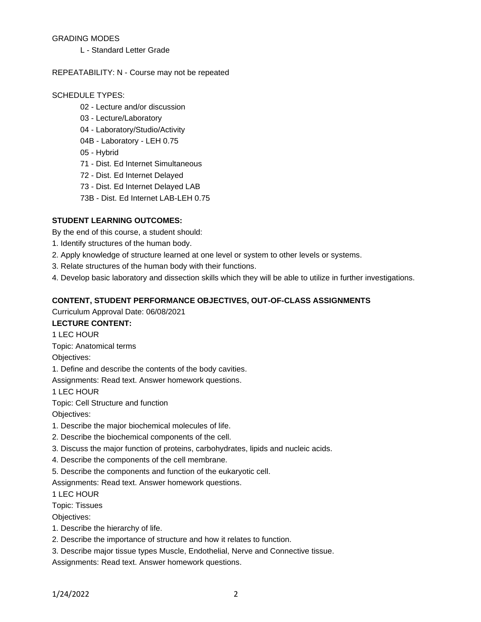#### GRADING MODES

L - Standard Letter Grade

#### REPEATABILITY: N - Course may not be repeated

#### SCHEDULE TYPES:

- 02 Lecture and/or discussion
- 03 Lecture/Laboratory
- 04 Laboratory/Studio/Activity
- 04B Laboratory LEH 0.75
- 05 Hybrid
- 71 Dist. Ed Internet Simultaneous
- 72 Dist. Ed Internet Delayed
- 73 Dist. Ed Internet Delayed LAB
- 73B Dist. Ed Internet LAB-LEH 0.75

### **STUDENT LEARNING OUTCOMES:**

By the end of this course, a student should:

- 1. Identify structures of the human body.
- 2. Apply knowledge of structure learned at one level or system to other levels or systems.
- 3. Relate structures of the human body with their functions.
- 4. Develop basic laboratory and dissection skills which they will be able to utilize in further investigations.

#### **CONTENT, STUDENT PERFORMANCE OBJECTIVES, OUT-OF-CLASS ASSIGNMENTS**

Curriculum Approval Date: 06/08/2021

# **LECTURE CONTENT:**

1 LEC HOUR

Topic: Anatomical terms

Objectives:

1. Define and describe the contents of the body cavities.

Assignments: Read text. Answer homework questions.

1 LEC HOUR

Topic: Cell Structure and function

Objectives:

- 1. Describe the major biochemical molecules of life.
- 2. Describe the biochemical components of the cell.
- 3. Discuss the major function of proteins, carbohydrates, lipids and nucleic acids.
- 4. Describe the components of the cell membrane.
- 5. Describe the components and function of the eukaryotic cell.

Assignments: Read text. Answer homework questions.

1 LEC HOUR

Topic: Tissues

Objectives:

- 1. Describe the hierarchy of life.
- 2. Describe the importance of structure and how it relates to function.
- 3. Describe major tissue types Muscle, Endothelial, Nerve and Connective tissue.

Assignments: Read text. Answer homework questions.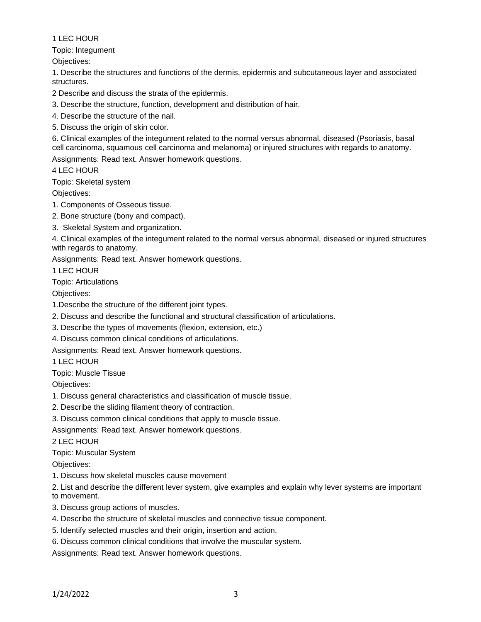Topic: Integument

Objectives:

1. Describe the structures and functions of the dermis, epidermis and subcutaneous layer and associated structures.

2 Describe and discuss the strata of the epidermis.

3. Describe the structure, function, development and distribution of hair.

- 4. Describe the structure of the nail.
- 5. Discuss the origin of skin color.

6. Clinical examples of the integument related to the normal versus abnormal, diseased (Psoriasis, basal cell carcinoma, squamous cell carcinoma and melanoma) or injured structures with regards to anatomy.

Assignments: Read text. Answer homework questions.

4 LEC HOUR

Topic: Skeletal system

Objectives:

- 1. Components of Osseous tissue.
- 2. Bone structure (bony and compact).
- 3. Skeletal System and organization.

4. Clinical examples of the integument related to the normal versus abnormal, diseased or injured structures with regards to anatomy.

Assignments: Read text. Answer homework questions.

1 LEC HOUR

Topic: Articulations

Objectives:

- 1.Describe the structure of the different joint types.
- 2. Discuss and describe the functional and structural classification of articulations.
- 3. Describe the types of movements (flexion, extension, etc.)
- 4. Discuss common clinical conditions of articulations.

Assignments: Read text. Answer homework questions.

1 LEC HOUR

Topic: Muscle Tissue

Objectives:

- 1. Discuss general characteristics and classification of muscle tissue.
- 2. Describe the sliding filament theory of contraction.
- 3. Discuss common clinical conditions that apply to muscle tissue.

Assignments: Read text. Answer homework questions.

2 LEC HOUR

#### Topic: Muscular System

Objectives:

1. Discuss how skeletal muscles cause movement

2. List and describe the different lever system, give examples and explain why lever systems are important to movement.

- 3. Discuss group actions of muscles.
- 4. Describe the structure of skeletal muscles and connective tissue component.
- 5. Identify selected muscles and their origin, insertion and action.
- 6. Discuss common clinical conditions that involve the muscular system.

Assignments: Read text. Answer homework questions.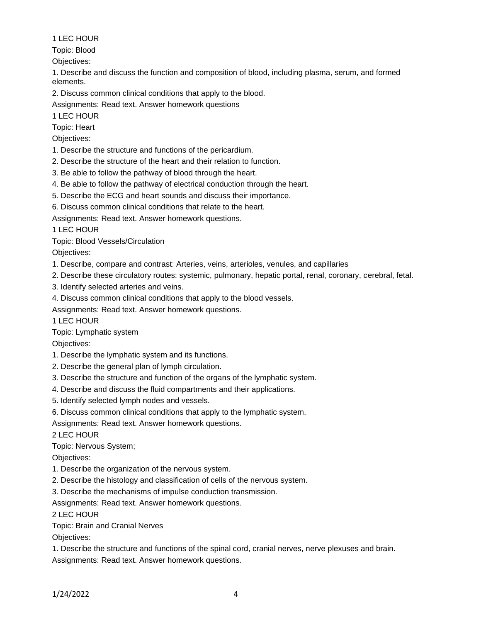Topic: Blood

Objectives:

1. Describe and discuss the function and composition of blood, including plasma, serum, and formed elements.

2. Discuss common clinical conditions that apply to the blood.

Assignments: Read text. Answer homework questions

1 LEC HOUR

Topic: Heart

# Objectives:

- 1. Describe the structure and functions of the pericardium.
- 2. Describe the structure of the heart and their relation to function.
- 3. Be able to follow the pathway of blood through the heart.
- 4. Be able to follow the pathway of electrical conduction through the heart.
- 5. Describe the ECG and heart sounds and discuss their importance.
- 6. Discuss common clinical conditions that relate to the heart.
- Assignments: Read text. Answer homework questions.

1 LEC HOUR

Topic: Blood Vessels/Circulation

Objectives:

- 1. Describe, compare and contrast: Arteries, veins, arterioles, venules, and capillaries
- 2. Describe these circulatory routes: systemic, pulmonary, hepatic portal, renal, coronary, cerebral, fetal.
- 3. Identify selected arteries and veins.
- 4. Discuss common clinical conditions that apply to the blood vessels.
- Assignments: Read text. Answer homework questions.

1 LEC HOUR

Topic: Lymphatic system

Objectives:

- 1. Describe the lymphatic system and its functions.
- 2. Describe the general plan of lymph circulation.
- 3. Describe the structure and function of the organs of the lymphatic system.
- 4. Describe and discuss the fluid compartments and their applications.
- 5. Identify selected lymph nodes and vessels.
- 6. Discuss common clinical conditions that apply to the lymphatic system.

Assignments: Read text. Answer homework questions.

2 LEC HOUR

Topic: Nervous System;

Objectives:

- 1. Describe the organization of the nervous system.
- 2. Describe the histology and classification of cells of the nervous system.

3. Describe the mechanisms of impulse conduction transmission.

Assignments: Read text. Answer homework questions.

# 2 LEC HOUR

Topic: Brain and Cranial Nerves

Objectives:

1. Describe the structure and functions of the spinal cord, cranial nerves, nerve plexuses and brain. Assignments: Read text. Answer homework questions.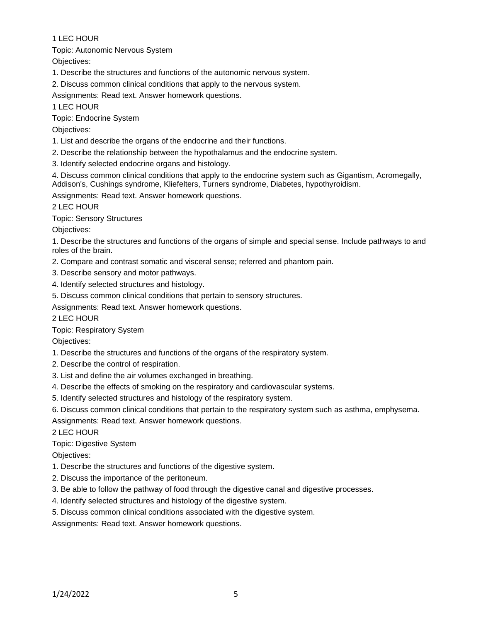Topic: Autonomic Nervous System

Objectives:

- 1. Describe the structures and functions of the autonomic nervous system.
- 2. Discuss common clinical conditions that apply to the nervous system.

Assignments: Read text. Answer homework questions.

1 LEC HOUR

Topic: Endocrine System

Objectives:

- 1. List and describe the organs of the endocrine and their functions.
- 2. Describe the relationship between the hypothalamus and the endocrine system.
- 3. Identify selected endocrine organs and histology.

4. Discuss common clinical conditions that apply to the endocrine system such as Gigantism, Acromegally, Addison's, Cushings syndrome, Kliefelters, Turners syndrome, Diabetes, hypothyroidism.

Assignments: Read text. Answer homework questions.

2 LEC HOUR

Topic: Sensory Structures

Objectives:

1. Describe the structures and functions of the organs of simple and special sense. Include pathways to and roles of the brain.

- 2. Compare and contrast somatic and visceral sense; referred and phantom pain.
- 3. Describe sensory and motor pathways.
- 4. Identify selected structures and histology.
- 5. Discuss common clinical conditions that pertain to sensory structures.

Assignments: Read text. Answer homework questions.

2 LEC HOUR

Topic: Respiratory System

Objectives:

- 1. Describe the structures and functions of the organs of the respiratory system.
- 2. Describe the control of respiration.
- 3. List and define the air volumes exchanged in breathing.
- 4. Describe the effects of smoking on the respiratory and cardiovascular systems.
- 5. Identify selected structures and histology of the respiratory system.
- 6. Discuss common clinical conditions that pertain to the respiratory system such as asthma, emphysema.

Assignments: Read text. Answer homework questions.

2 LEC HOUR

Topic: Digestive System

Objectives:

- 1. Describe the structures and functions of the digestive system.
- 2. Discuss the importance of the peritoneum.
- 3. Be able to follow the pathway of food through the digestive canal and digestive processes.
- 4. Identify selected structures and histology of the digestive system.
- 5. Discuss common clinical conditions associated with the digestive system.

Assignments: Read text. Answer homework questions.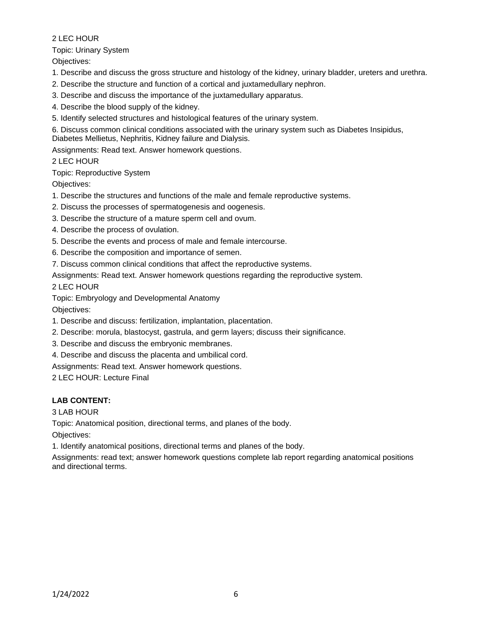### Topic: Urinary System

Objectives:

- 1. Describe and discuss the gross structure and histology of the kidney, urinary bladder, ureters and urethra.
- 2. Describe the structure and function of a cortical and juxtamedullary nephron.
- 3. Describe and discuss the importance of the juxtamedullary apparatus.
- 4. Describe the blood supply of the kidney.
- 5. Identify selected structures and histological features of the urinary system.

6. Discuss common clinical conditions associated with the urinary system such as Diabetes Insipidus, Diabetes Mellietus, Nephritis, Kidney failure and Dialysis.

Assignments: Read text. Answer homework questions.

# 2 LEC HOUR

Topic: Reproductive System

Objectives:

- 1. Describe the structures and functions of the male and female reproductive systems.
- 2. Discuss the processes of spermatogenesis and oogenesis.
- 3. Describe the structure of a mature sperm cell and ovum.
- 4. Describe the process of ovulation.
- 5. Describe the events and process of male and female intercourse.
- 6. Describe the composition and importance of semen.
- 7. Discuss common clinical conditions that affect the reproductive systems.

Assignments: Read text. Answer homework questions regarding the reproductive system.

2 LEC HOUR

Topic: Embryology and Developmental Anatomy

Objectives:

- 1. Describe and discuss: fertilization, implantation, placentation.
- 2. Describe: morula, blastocyst, gastrula, and germ layers; discuss their significance.
- 3. Describe and discuss the embryonic membranes.
- 4. Describe and discuss the placenta and umbilical cord.

Assignments: Read text. Answer homework questions.

2 LEC HOUR: Lecture Final

# **LAB CONTENT:**

3 LAB HOUR

Topic: Anatomical position, directional terms, and planes of the body.

Objectives:

1. Identify anatomical positions, directional terms and planes of the body.

Assignments: read text; answer homework questions complete lab report regarding anatomical positions and directional terms.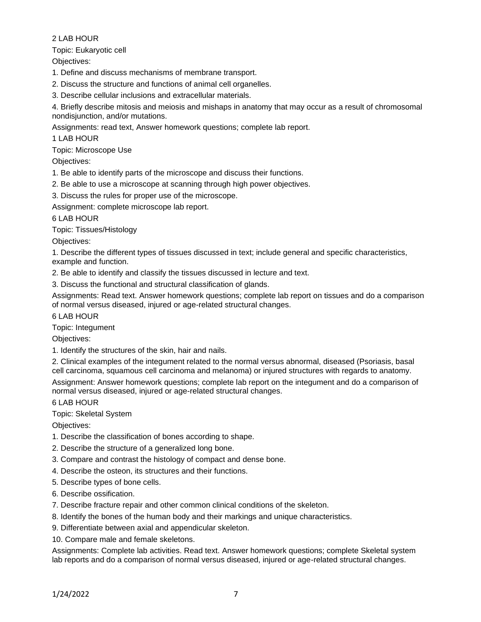Topic: Eukaryotic cell

Objectives:

1. Define and discuss mechanisms of membrane transport.

2. Discuss the structure and functions of animal cell organelles.

3. Describe cellular inclusions and extracellular materials.

4. Briefly describe mitosis and meiosis and mishaps in anatomy that may occur as a result of chromosomal nondisjunction, and/or mutations.

Assignments: read text, Answer homework questions; complete lab report.

1 LAB HOUR

Topic: Microscope Use

Objectives:

1. Be able to identify parts of the microscope and discuss their functions.

2. Be able to use a microscope at scanning through high power objectives.

3. Discuss the rules for proper use of the microscope.

Assignment: complete microscope lab report.

6 LAB HOUR

Topic: Tissues/Histology

Objectives:

1. Describe the different types of tissues discussed in text; include general and specific characteristics, example and function.

2. Be able to identify and classify the tissues discussed in lecture and text.

3. Discuss the functional and structural classification of glands.

Assignments: Read text. Answer homework questions; complete lab report on tissues and do a comparison of normal versus diseased, injured or age-related structural changes.

6 LAB HOUR

Topic: Integument

Objectives:

1. Identify the structures of the skin, hair and nails.

2. Clinical examples of the integument related to the normal versus abnormal, diseased (Psoriasis, basal cell carcinoma, squamous cell carcinoma and melanoma) or injured structures with regards to anatomy.

Assignment: Answer homework questions; complete lab report on the integument and do a comparison of normal versus diseased, injured or age-related structural changes.

6 LAB HOUR

Topic: Skeletal System

Objectives:

1. Describe the classification of bones according to shape.

2. Describe the structure of a generalized long bone.

3. Compare and contrast the histology of compact and dense bone.

4. Describe the osteon, its structures and their functions.

5. Describe types of bone cells.

6. Describe ossification.

7. Describe fracture repair and other common clinical conditions of the skeleton.

8. Identify the bones of the human body and their markings and unique characteristics.

9. Differentiate between axial and appendicular skeleton.

10. Compare male and female skeletons.

Assignments: Complete lab activities. Read text. Answer homework questions; complete Skeletal system lab reports and do a comparison of normal versus diseased, injured or age-related structural changes.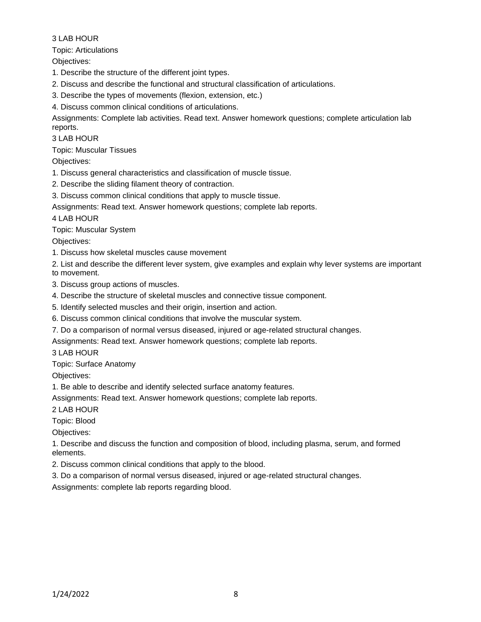Topic: Articulations

Objectives:

- 1. Describe the structure of the different joint types.
- 2. Discuss and describe the functional and structural classification of articulations.
- 3. Describe the types of movements (flexion, extension, etc.)
- 4. Discuss common clinical conditions of articulations.

Assignments: Complete lab activities. Read text. Answer homework questions; complete articulation lab reports.

3 LAB HOUR

Topic: Muscular Tissues

Objectives:

- 1. Discuss general characteristics and classification of muscle tissue.
- 2. Describe the sliding filament theory of contraction.
- 3. Discuss common clinical conditions that apply to muscle tissue.
- Assignments: Read text. Answer homework questions; complete lab reports.

4 LAB HOUR

Topic: Muscular System

Objectives:

- 1. Discuss how skeletal muscles cause movement
- 2. List and describe the different lever system, give examples and explain why lever systems are important to movement.
- 3. Discuss group actions of muscles.
- 4. Describe the structure of skeletal muscles and connective tissue component.
- 5. Identify selected muscles and their origin, insertion and action.
- 6. Discuss common clinical conditions that involve the muscular system.
- 7. Do a comparison of normal versus diseased, injured or age-related structural changes.

Assignments: Read text. Answer homework questions; complete lab reports.

3 LAB HOUR

Topic: Surface Anatomy

Objectives:

1. Be able to describe and identify selected surface anatomy features.

Assignments: Read text. Answer homework questions; complete lab reports.

2 LAB HOUR

Topic: Blood

Objectives:

1. Describe and discuss the function and composition of blood, including plasma, serum, and formed elements.

- 2. Discuss common clinical conditions that apply to the blood.
- 3. Do a comparison of normal versus diseased, injured or age-related structural changes.

Assignments: complete lab reports regarding blood.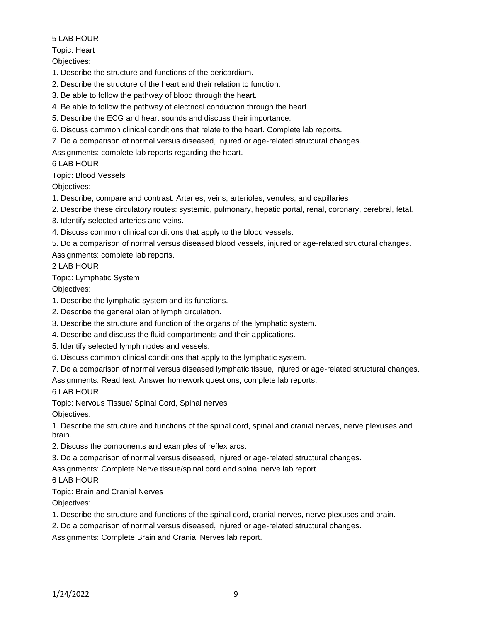# Topic: Heart

Objectives:

1. Describe the structure and functions of the pericardium.

- 2. Describe the structure of the heart and their relation to function.
- 3. Be able to follow the pathway of blood through the heart.
- 4. Be able to follow the pathway of electrical conduction through the heart.
- 5. Describe the ECG and heart sounds and discuss their importance.
- 6. Discuss common clinical conditions that relate to the heart. Complete lab reports.
- 7. Do a comparison of normal versus diseased, injured or age-related structural changes.

Assignments: complete lab reports regarding the heart.

# 6 LAB HOUR

Topic: Blood Vessels

Objectives:

- 1. Describe, compare and contrast: Arteries, veins, arterioles, venules, and capillaries
- 2. Describe these circulatory routes: systemic, pulmonary, hepatic portal, renal, coronary, cerebral, fetal.
- 3. Identify selected arteries and veins.
- 4. Discuss common clinical conditions that apply to the blood vessels.
- 5. Do a comparison of normal versus diseased blood vessels, injured or age-related structural changes. Assignments: complete lab reports.

2 LAB HOUR

# Topic: Lymphatic System

Objectives:

- 1. Describe the lymphatic system and its functions.
- 2. Describe the general plan of lymph circulation.
- 3. Describe the structure and function of the organs of the lymphatic system.
- 4. Describe and discuss the fluid compartments and their applications.
- 5. Identify selected lymph nodes and vessels.
- 6. Discuss common clinical conditions that apply to the lymphatic system.
- 7. Do a comparison of normal versus diseased lymphatic tissue, injured or age-related structural changes.

Assignments: Read text. Answer homework questions; complete lab reports.

6 LAB HOUR

Topic: Nervous Tissue/ Spinal Cord, Spinal nerves

Objectives:

1. Describe the structure and functions of the spinal cord, spinal and cranial nerves, nerve plexuses and brain.

- 2. Discuss the components and examples of reflex arcs.
- 3. Do a comparison of normal versus diseased, injured or age-related structural changes.

Assignments: Complete Nerve tissue/spinal cord and spinal nerve lab report.

6 LAB HOUR

Topic: Brain and Cranial Nerves

Objectives:

1. Describe the structure and functions of the spinal cord, cranial nerves, nerve plexuses and brain.

2. Do a comparison of normal versus diseased, injured or age-related structural changes.

Assignments: Complete Brain and Cranial Nerves lab report.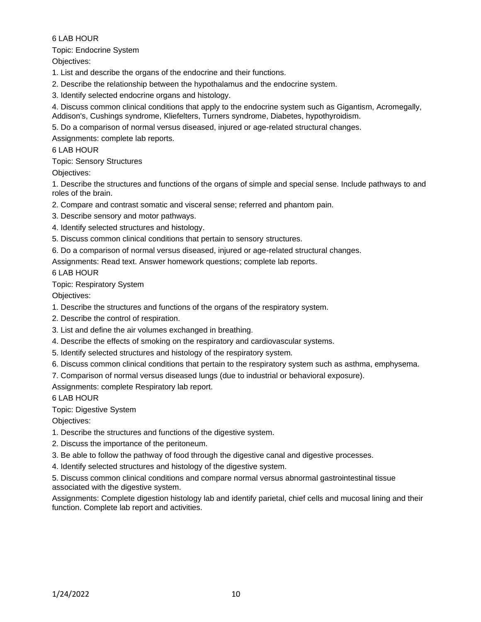Topic: Endocrine System

Objectives:

1. List and describe the organs of the endocrine and their functions.

2. Describe the relationship between the hypothalamus and the endocrine system.

3. Identify selected endocrine organs and histology.

4. Discuss common clinical conditions that apply to the endocrine system such as Gigantism, Acromegally, Addison's, Cushings syndrome, Kliefelters, Turners syndrome, Diabetes, hypothyroidism.

5. Do a comparison of normal versus diseased, injured or age-related structural changes.

Assignments: complete lab reports.

# 6 LAB HOUR

# Topic: Sensory Structures

Objectives:

1. Describe the structures and functions of the organs of simple and special sense. Include pathways to and roles of the brain.

2. Compare and contrast somatic and visceral sense; referred and phantom pain.

- 3. Describe sensory and motor pathways.
- 4. Identify selected structures and histology.
- 5. Discuss common clinical conditions that pertain to sensory structures.
- 6. Do a comparison of normal versus diseased, injured or age-related structural changes.

Assignments: Read text. Answer homework questions; complete lab reports.

# 6 LAB HOUR

# Topic: Respiratory System

Objectives:

1. Describe the structures and functions of the organs of the respiratory system.

- 2. Describe the control of respiration.
- 3. List and define the air volumes exchanged in breathing.
- 4. Describe the effects of smoking on the respiratory and cardiovascular systems.
- 5. Identify selected structures and histology of the respiratory system.
- 6. Discuss common clinical conditions that pertain to the respiratory system such as asthma, emphysema.

7. Comparison of normal versus diseased lungs (due to industrial or behavioral exposure).

Assignments: complete Respiratory lab report.

6 LAB HOUR

Topic: Digestive System

Objectives:

- 1. Describe the structures and functions of the digestive system.
- 2. Discuss the importance of the peritoneum.
- 3. Be able to follow the pathway of food through the digestive canal and digestive processes.
- 4. Identify selected structures and histology of the digestive system.

5. Discuss common clinical conditions and compare normal versus abnormal gastrointestinal tissue associated with the digestive system.

Assignments: Complete digestion histology lab and identify parietal, chief cells and mucosal lining and their function. Complete lab report and activities.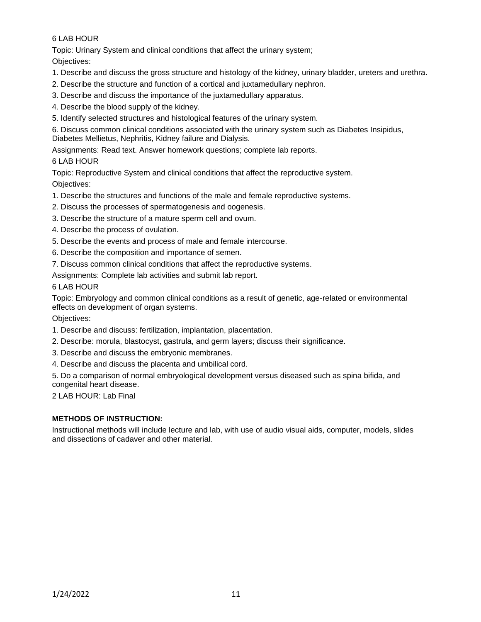Topic: Urinary System and clinical conditions that affect the urinary system;

Objectives:

- 1. Describe and discuss the gross structure and histology of the kidney, urinary bladder, ureters and urethra.
- 2. Describe the structure and function of a cortical and juxtamedullary nephron.
- 3. Describe and discuss the importance of the juxtamedullary apparatus.
- 4. Describe the blood supply of the kidney.
- 5. Identify selected structures and histological features of the urinary system.

6. Discuss common clinical conditions associated with the urinary system such as Diabetes Insipidus, Diabetes Mellietus, Nephritis, Kidney failure and Dialysis.

Assignments: Read text. Answer homework questions; complete lab reports.

# 6 LAB HOUR

Topic: Reproductive System and clinical conditions that affect the reproductive system. Objectives:

- 1. Describe the structures and functions of the male and female reproductive systems.
- 2. Discuss the processes of spermatogenesis and oogenesis.
- 3. Describe the structure of a mature sperm cell and ovum.
- 4. Describe the process of ovulation.
- 5. Describe the events and process of male and female intercourse.
- 6. Describe the composition and importance of semen.
- 7. Discuss common clinical conditions that affect the reproductive systems.

Assignments: Complete lab activities and submit lab report.

6 LAB HOUR

Topic: Embryology and common clinical conditions as a result of genetic, age-related or environmental effects on development of organ systems.

Objectives:

- 1. Describe and discuss: fertilization, implantation, placentation.
- 2. Describe: morula, blastocyst, gastrula, and germ layers; discuss their significance.
- 3. Describe and discuss the embryonic membranes.
- 4. Describe and discuss the placenta and umbilical cord.

5. Do a comparison of normal embryological development versus diseased such as spina bifida, and congenital heart disease.

2 LAB HOUR: Lab Final

# **METHODS OF INSTRUCTION:**

Instructional methods will include lecture and lab, with use of audio visual aids, computer, models, slides and dissections of cadaver and other material.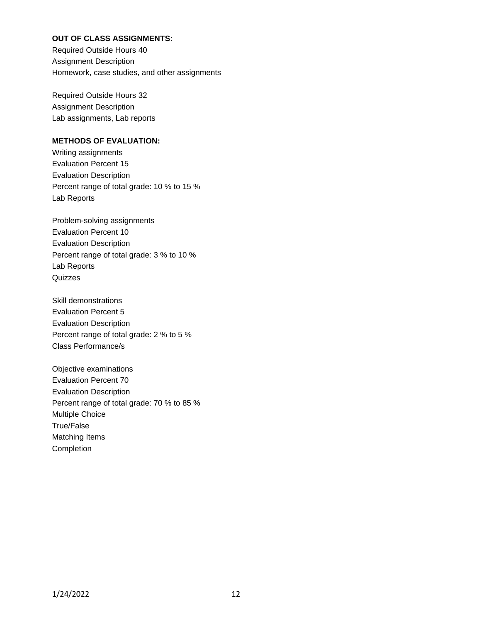# **OUT OF CLASS ASSIGNMENTS:**

Required Outside Hours 40 Assignment Description Homework, case studies, and other assignments

Required Outside Hours 32 Assignment Description Lab assignments, Lab reports

### **METHODS OF EVALUATION:**

Writing assignments Evaluation Percent 15 Evaluation Description Percent range of total grade: 10 % to 15 % Lab Reports

Problem-solving assignments Evaluation Percent 10 Evaluation Description Percent range of total grade: 3 % to 10 % Lab Reports **Quizzes** 

Skill demonstrations Evaluation Percent 5 Evaluation Description Percent range of total grade: 2 % to 5 % Class Performance/s

Objective examinations Evaluation Percent 70 Evaluation Description Percent range of total grade: 70 % to 85 % Multiple Choice True/False Matching Items Completion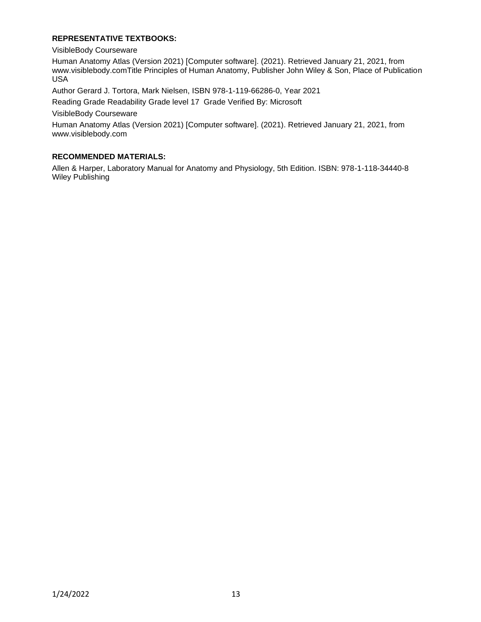### **REPRESENTATIVE TEXTBOOKS:**

VisibleBody Courseware

Human Anatomy Atlas (Version 2021) [Computer software]. (2021). Retrieved January 21, 2021, from www.visiblebody.comTitle Principles of Human Anatomy, Publisher John Wiley & Son, Place of Publication USA

Author Gerard J. Tortora, Mark Nielsen, ISBN 978-1-119-66286-0, Year 2021

Reading Grade Readability Grade level 17 Grade Verified By: Microsoft

VisibleBody Courseware

Human Anatomy Atlas (Version 2021) [Computer software]. (2021). Retrieved January 21, 2021, from www.visiblebody.com

#### **RECOMMENDED MATERIALS:**

Allen & Harper, Laboratory Manual for Anatomy and Physiology, 5th Edition. ISBN: 978-1-118-34440-8 Wiley Publishing